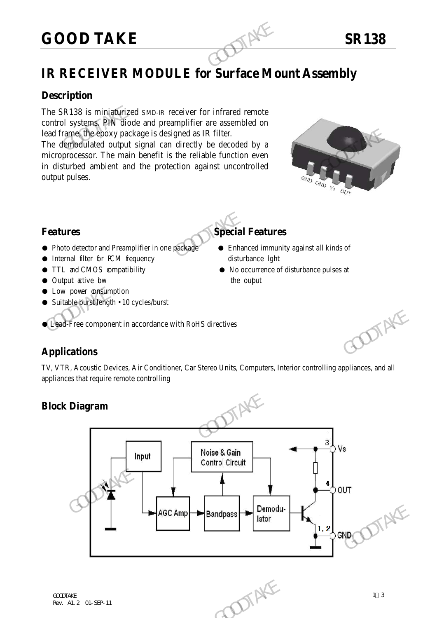# **GOOD TAKE** SR138

### **Description**

The SR138 is miniaturized SMD-IR receiver for infrared remote control systems. PIN diode and preamplifier are assembled on lead frame, the epoxy package is designed as IR filter.

The demodulated output signal can directly be decoded by a microprocessor. The main benefit is the reliable function even in disturbed ambient and the protection against uncontrolled output pulses. GOOD TAKE<br>
IR RECEIVER MODULE for Surface Mo<br>
Description<br>
The SR138 is miniaturized SMD-IR receiver for infrared remote<br>
control systems. PIN diode and preamplifier are assembled on<br>
lead frame the epoxy package is design Lead frame (the epoxy package is designed as IR filter.<br>
The demohalized output signal can directly be decoded by a<br>
microprocessor. The main benefit is the reliable function even<br>
in disturbed ambient and the protection



- Photo detector and Preamplifier in one package Enhanced immunity against all kinds of
- Internal filter for PCM fequency disturbance lght
- 
- Output active bw the output
- **Low power consumption**
- Suitable burst length 10 cycles/burst

## ● Lead-Free component in accordance with RoHS directives

### **Applications**

TV, VTR, Acoustic Devices, Air Conditioner, Car Stereo Units, Computers, Interior controlling appliances, and all appliances that require remote controlling

### **Block Diagram**







- **Features Special Features** 
	-
- TTL and CMOS compatibility No occurrence of disturbance pulses at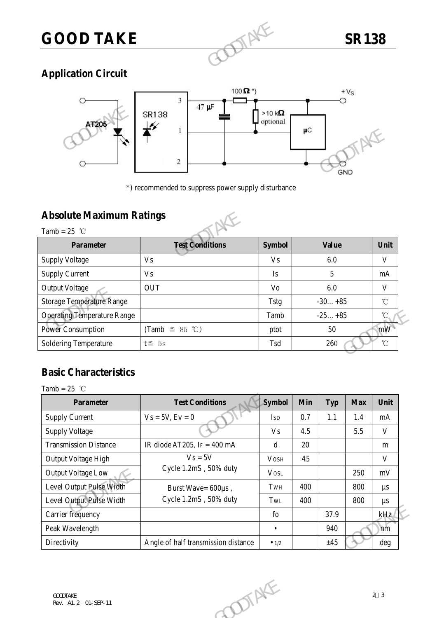

### **Application Circuit**



\*) recommended to suppress power supply disturbance

### **Absolute Maximum Ratings**



### **Basic Characteristics**

| <b>Operating Temperature Range</b> |                                     | Tamb           | $-25+85$ |            | $^{\circ}\!{\rm C}$ |              |
|------------------------------------|-------------------------------------|----------------|----------|------------|---------------------|--------------|
| <b>Power Consumption</b>           | (Tamb $\leq$ 85 °C)                 | ptot           |          | 50         |                     | mW           |
| <b>Soldering Temperature</b>       | $t \leq 5s$                         | Tsd            | 260      |            | $^\circ\!{\rm C}$   |              |
|                                    |                                     |                |          |            |                     |              |
| <b>Basic Characteristics</b>       |                                     |                |          |            |                     |              |
| Tamb = $25$ °C                     |                                     |                |          |            |                     |              |
| <b>Parameter</b>                   | <b>Test Conditions</b>              | Symbol         | Min      | <b>Typ</b> | <b>Max</b>          | Unit         |
| <b>Supply Current</b>              | $Vs = 5V, Ev = 0$                   | <b>ISD</b>     | 0.7      | 1.1        | 1.4                 | $\rm mA$     |
| <b>Supply Voltage</b>              |                                     | V <sub>S</sub> | 4.5      |            | 5.5                 | $\mathbf{V}$ |
| <b>Transmission Distance</b>       | IR diode AT205, $IF = 400$ mA       | $\mathbf d$    | 20       |            |                     | m            |
| Output Voltage High                | $Vs = 5V$<br>Cycle 1.2mS, 50% duty  | <b>VOSH</b>    | 45       |            |                     | $\mathbf{V}$ |
| <b>Output Voltage Low</b>          |                                     | <b>VOSL</b>    |          |            | 250                 | mV           |
| Level Output Pulse Width           | Burst Wave= 600µs,                  | TwH            | 400      |            | 800                 | $\mu s$      |
| Level Output Pulse Width           | Cycle 1.2mS, 50% duty               | TwL            | 400      |            | 800                 | $\mu s$      |
| Carrier frequency                  |                                     | fo             |          | 37.9       |                     | kHz          |
| Peak Wavelength                    |                                     | $\bullet$      |          | 940        |                     | nm           |
| Directivity                        | Angle of half transmission distance | $\bullet$ 1/2  |          | ±45        |                     | deg          |